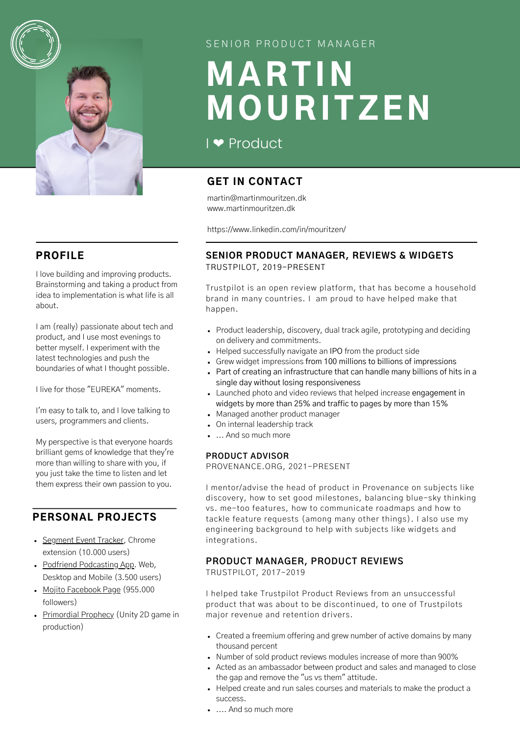

### SENIOR PRODUCT MANAGER

# MARTIN MOURITZEN

# I [❤️](https://emojipedia.org/red-heart/) Product

# GET IN CONTACT

martin@martinmouritzen.dk www.martinmouritzen.dk

https://www.linkedin.com/in/mouritzen/

#### **SENIOR PRODUCT MANAGER, REVIEWS & WIDGETS** TRUSTPILOT, 2019-PRESENT

Trustpilot is an open review platform, that has become a household brand in many countries. I am proud to have helped make that happen.

- Product leadership, discovery, dual track agile, prototyping and deciding on delivery and commitments.
- Helped successfully navigate an IPO from the product side
- Grew widget impressions from 100 millions to billions of impressions
- Part of creating an infrastructure that can handle many billions of hits in a single day without losing responsiveness
- Launched photo and video reviews that helped increase engagement in widgets by more than 25% and traffic to pages by more than 15%
- Managed another product manager
- On internal leadership track
- ... And so much more

#### **PRODUCT ADVISOR**

PROVENANCE.ORG, 2021-PRESENT

I mentor/advise the head of product in Provenance on subjects like discovery, how to set good milestones, balancing blue-sky thinking vs. me-too features, how to communicate roadmaps and how to tackle feature requests (among many other things). I also use my engineering background to help with subjects like widgets and integrations.

#### **PRODUCT MANAGER, PRODUCT REVIEWS**

TRUSTPILOT, 2017-2019

I helped take Trustpilot Product Reviews from an unsuccessful product that was about to be discontinued, to one of Trustpilots major revenue and retention drivers.

- Created a freemium offering and grew number of active domains by many thousand percent
- Number of sold product reviews modules increase of more than 900%
- Acted as an ambassador between product and sales and managed to close the gap and remove the "us vs them" attitude.
- Helped create and run sales courses and materials to make the product a success.

PROFILE

I love building and improving products. Brainstorming and taking a product from idea to implementation is what life is all about.

I am (really) passionate about tech and product, and I use most evenings to better myself. I experiment with the latest technologies and push the boundaries of what I thought possible.

I live for those "EUREKA" moments.

I'm easy to talk to, and I love talking to users, programmers and clients.

My perspective is that everyone hoards brilliant gems of knowledge that they're more than willing to share with you, if you just take the time to listen and let them express their own passion to you.

# PERSONAL PROJECTS

- [Segment Event Tracker,](https://chrome.google.com/webstore/detail/segment-event-tracker/hbanigoffkilibdakdmmlgefndpjmajl?hl=en) Chrome extension (10.000 users)
- [Podfriend Podcasting App.](https://www.podfriend.com/) Web, Desktop and Mobile (3.500 users)
- [Mojito Facebook Page](https://www.facebook.com/tasteofmojito) (955.000 followers)
- [Primordial Prophecy](https://twitter.com/GoPrimordial) (Unity 2D game in production)

.... And so much more